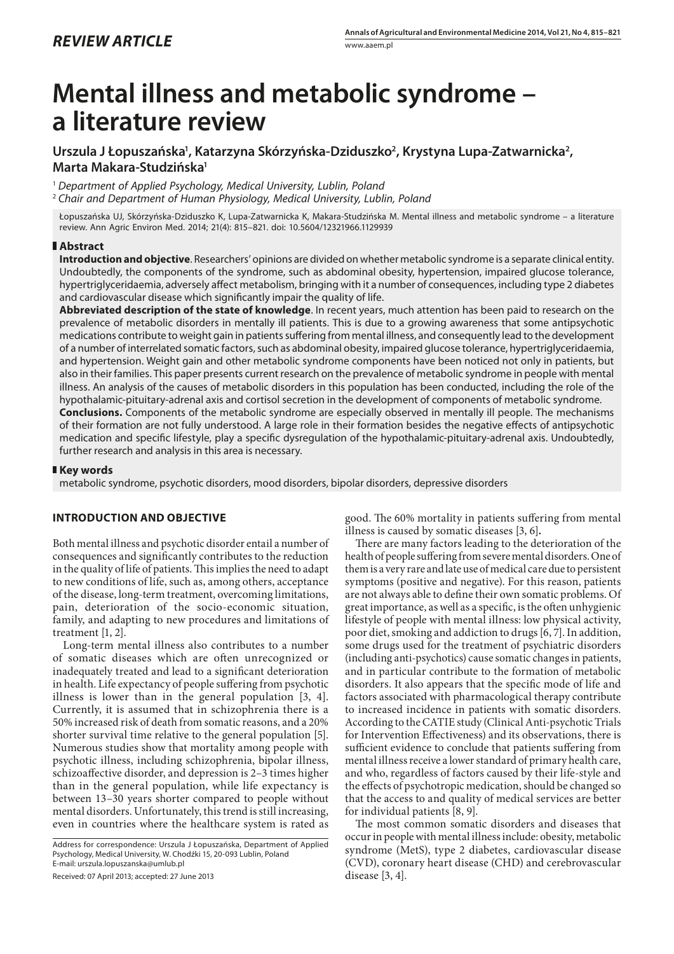# **Mental illness and metabolic syndrome – a literature review**

## Urszula J Łopuszańska<sup>1</sup>, Katarzyna Skórzyńska-Dziduszko<sup>2</sup>, Krystyna Lupa-Zatwarnicka<sup>2</sup>, **Marta Makara-Studzińska1**

<sup>1</sup> *Department of Applied Psychology, Medical University, Lublin, Poland*

<sup>2</sup> *Chair and Department of Human Physiology, Medical University, Lublin, Poland*

Łopuszańska UJ, Skórzyńska-Dziduszko K, Lupa-Zatwarnicka K, Makara-Studzińska M. Mental illness and metabolic syndrome – a literature review. Ann Agric Environ Med. 2014; 21(4): 815–821. doi: 10.5604/12321966.1129939

### **Abstract**

**Introduction and objective**. Researchers' opinions are divided on whether metabolic syndrome is a separate clinical entity. Undoubtedly, the components of the syndrome, such as abdominal obesity, hypertension, impaired glucose tolerance, hypertriglyceridaemia, adversely affect metabolism, bringing with it a number of consequences, including type 2 diabetes and cardiovascular disease which significantly impair the quality of life.

**Abbreviated description of the state of knowledge**. In recent years, much attention has been paid to research on the prevalence of metabolic disorders in mentally ill patients. This is due to a growing awareness that some antipsychotic medications contribute to weight gain in patients suffering from mental illness, and consequently lead to the development of a number of interrelated somatic factors, such as abdominal obesity, impaired glucose tolerance, hypertriglyceridaemia, and hypertension. Weight gain and other metabolic syndrome components have been noticed not only in patients, but also in their families. This paper presents current research on the prevalence of metabolic syndrome in people with mental illness. An analysis of the causes of metabolic disorders in this population has been conducted, including the role of the hypothalamic-pituitary-adrenal axis and cortisol secretion in the development of components of metabolic syndrome. **Conclusions.** Components of the metabolic syndrome are especially observed in mentally ill people. The mechanisms

of their formation are not fully understood. A large role in their formation besides the negative effects of antipsychotic medication and specific lifestyle, play a specific dysregulation of the hypothalamic-pituitary-adrenal axis. Undoubtedly, further research and analysis in this area is necessary.

### **Key words**

metabolic syndrome, psychotic disorders, mood disorders, bipolar disorders, depressive disorders

### **INTRODUCTION AND OBJECTIVE**

Both mental illness and psychotic disorder entail a number of consequences and significantly contributes to the reduction in the quality of life of patients. This implies the need to adapt to new conditions of life, such as, among others, acceptance of the disease, long-term treatment, overcoming limitations, pain, deterioration of the socio-economic situation, family, and adapting to new procedures and limitations of treatment [1, 2].

Long-term mental illness also contributes to a number of somatic diseases which are often unrecognized or inadequately treated and lead to a significant deterioration in health. Life expectancy of people suffering from psychotic illness is lower than in the general population [3, 4]. Currently, it is assumed that in schizophrenia there is a 50% increased risk of death from somatic reasons, and a 20% shorter survival time relative to the general population [5]. Numerous studies show that mortality among people with psychotic illness, including schizophrenia, bipolar illness, schizoaffective disorder, and depression is 2–3 times higher than in the general population, while life expectancy is between 13–30 years shorter compared to people without mental disorders. Unfortunately, this trend is still increasing, even in countries where the healthcare system is rated as

Address for correspondence: Urszula J Łopuszańska, Department of Applied Psychology, Medical University, W. Chodźki 15, 20-093 Lublin, Poland E-mail: urszula.lopuszanska@umlub.pl

Received: 07 April 2013; accepted: 27 June 2013

good. The 60% mortality in patients suffering from mental illness is caused by somatic diseases [3, 6]*.*

There are many factors leading to the deterioration of the health of people suffering from severe mental disorders. One of them is a very rare and late use of medical care due to persistent symptoms (positive and negative). For this reason, patients are not always able to define their own somatic problems. Of great importance, as well as a specific, is the often unhygienic lifestyle of people with mental illness: low physical activity, poor diet, smoking and addiction to drugs [6, 7]. In addition, some drugs used for the treatment of psychiatric disorders (including anti-psychotics) cause somatic changes in patients, and in particular contribute to the formation of metabolic disorders. It also appears that the specific mode of life and factors associated with pharmacological therapy contribute to increased incidence in patients with somatic disorders. According to the CATIE study (Clinical Anti-psychotic Trials for Intervention Effectiveness) and its observations, there is sufficient evidence to conclude that patients suffering from mental illness receive a lower standard of primary health care, and who, regardless of factors caused by their life-style and the effects of psychotropic medication, should be changed so that the access to and quality of medical services are better for individual patients [8, 9].

The most common somatic disorders and diseases that occur in people with mental illness include: obesity, metabolic syndrome (MetS), type 2 diabetes, cardiovascular disease (CVD), coronary heart disease (CHD) and cerebrovascular disease [3, 4].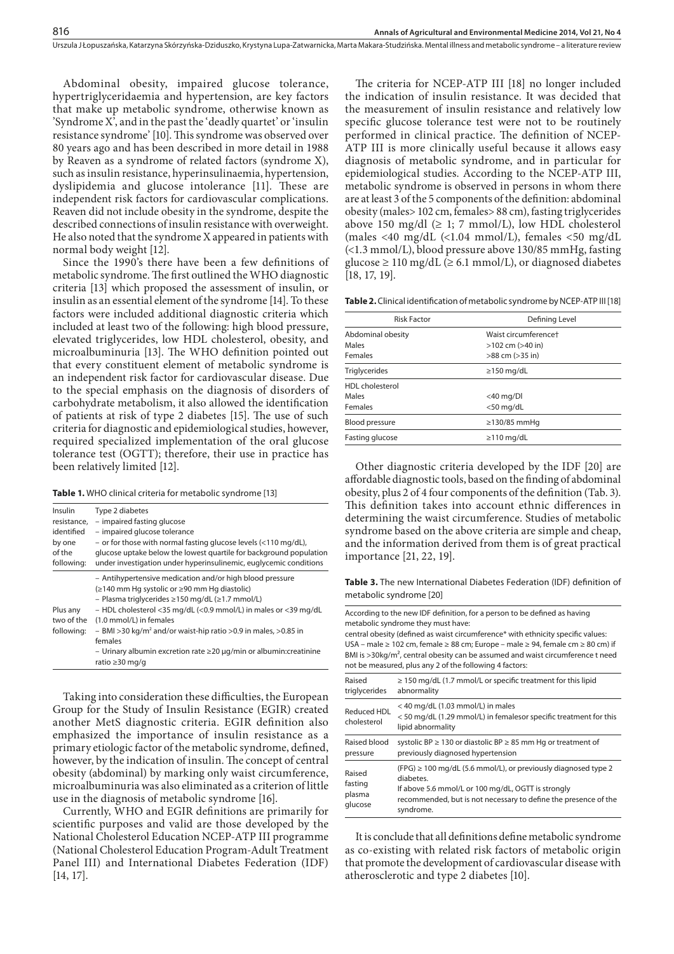Abdominal obesity, impaired glucose tolerance, hypertriglyceridaemia and hypertension, are key factors that make up metabolic syndrome, otherwise known as 'Syndrome X', and in the past the 'deadly quartet' or 'insulin resistance syndrome' [10]. This syndrome was observed over 80 years ago and has been described in more detail in 1988 by Reaven as a syndrome of related factors (syndrome X), such as insulin resistance, hyperinsulinaemia, hypertension, dyslipidemia and glucose intolerance [11]*.* These are independent risk factors for cardiovascular complications. Reaven did not include obesity in the syndrome, despite the described connections of insulin resistance with overweight. He also noted that the syndrome X appeared in patients with normal body weight [12].

Since the 1990's there have been a few definitions of metabolic syndrome. The first outlined the WHO diagnostic criteria [13] which proposed the assessment of insulin, or insulin as an essential element of the syndrome [14]. To these factors were included additional diagnostic criteria which included at least two of the following: high blood pressure, elevated triglycerides, low HDL cholesterol, obesity, and microalbuminuria [13]. The WHO definition pointed out that every constituent element of metabolic syndrome is an independent risk factor for cardiovascular disease. Due to the special emphasis on the diagnosis of disorders of carbohydrate metabolism, it also allowed the identification of patients at risk of type 2 diabetes [15]. The use of such criteria for diagnostic and epidemiological studies, however, required specialized implementation of the oral glucose tolerance test (OGTT); therefore, their use in practice has been relatively limited [12].

| Insulin                              | Type 2 diabetes                                                                                                                                                                                                                                                                                                                                                                                                                                                            |
|--------------------------------------|----------------------------------------------------------------------------------------------------------------------------------------------------------------------------------------------------------------------------------------------------------------------------------------------------------------------------------------------------------------------------------------------------------------------------------------------------------------------------|
| resistance.                          | - impaired fasting glucose                                                                                                                                                                                                                                                                                                                                                                                                                                                 |
| identified                           | - impaired glucose tolerance                                                                                                                                                                                                                                                                                                                                                                                                                                               |
| by one                               | - or for those with normal fasting glucose levels (<110 mg/dL),                                                                                                                                                                                                                                                                                                                                                                                                            |
| of the                               | glucose uptake below the lowest quartile for background population                                                                                                                                                                                                                                                                                                                                                                                                         |
| following:                           | under investigation under hyperinsulinemic, euglycemic conditions                                                                                                                                                                                                                                                                                                                                                                                                          |
| Plus any<br>two of the<br>following: | - Antihypertensive medication and/or high blood pressure<br>(≥140 mm Hq systolic or ≥90 mm Hq diastolic)<br>- Plasma triglycerides $\geq$ 150 mg/dL ( $\geq$ 1.7 mmol/L)<br>- HDL cholesterol <35 mg/dL (<0.9 mmol/L) in males or <39 mg/dL<br>(1.0 mmol/L) in females<br>$-$ BMI >30 kg/m <sup>2</sup> and/or waist-hip ratio >0.9 in males, >0.85 in<br>females<br>- Urinary albumin excretion rate $\geq$ 20 $\mu$ g/min or albumin: creatinine<br>ratio $\geq$ 30 mg/g |

Taking into consideration these difficulties, the European Group for the Study of Insulin Resistance (EGIR) created another MetS diagnostic criteria. EGIR definition also emphasized the importance of insulin resistance as a primary etiologic factor of the metabolic syndrome, defined, however, by the indication of insulin. The concept of central obesity (abdominal) by marking only waist circumference, microalbuminuria was also eliminated as a criterion of little use in the diagnosis of metabolic syndrome [16].

Currently, WHO and EGIR definitions are primarily for scientific purposes and valid are those developed by the National Cholesterol Education NCEP-ATP III programme (National Cholesterol Education Program-Adult Treatment Panel III) and International Diabetes Federation (IDF) [14, 17].

The criteria for NCEP-ATP III [18] no longer included the indication of insulin resistance. It was decided that the measurement of insulin resistance and relatively low specific glucose tolerance test were not to be routinely performed in clinical practice. The definition of NCEP-ATP III is more clinically useful because it allows easy diagnosis of metabolic syndrome, and in particular for epidemiological studies. According to the NCEP-ATP III, metabolic syndrome is observed in persons in whom there are at least 3 of the 5 components of the definition: abdominal obesity (males> 102 cm, females> 88 cm), fasting triglycerides above 150 mg/dl  $(≥ 1; 7 mmol/L)$ , low HDL cholesterol (males <40 mg/dL (<1.04 mmol/L), females <50 mg/dL (<1.3 mmol/L), blood pressure above 130/85 mmHg, fasting glucose ≥ 110 mg/dL (≥ 6.1 mmol/L), or diagnosed diabetes [18, 17, 19].

**Table 2.** Clinical identification of metabolic syndrome by NCEP-ATP III [18]

| <b>Risk Factor</b>     | Defining Level        |
|------------------------|-----------------------|
| Abdominal obesity      | Waist circumferencet  |
| Males                  | $>102$ cm ( $>40$ in) |
| Females                | >88 cm (>35 in)       |
| <b>Triglycerides</b>   | $\geq$ 150 mg/dL      |
| <b>HDL</b> cholesterol |                       |
| Males                  | $<$ 40 mg/Dl          |
| Females                | $<$ 50 mg/dL          |
| <b>Blood pressure</b>  | ≥130/85 mmHq          |
| Fasting glucose        | $\geq$ 110 mg/dL      |

Other diagnostic criteria developed by the IDF [20] are affordable diagnostic tools, based on the finding of abdominal obesity, plus 2 of 4 four components of the definition (Tab. 3). This definition takes into account ethnic differences in determining the waist circumference. Studies of metabolic syndrome based on the above criteria are simple and cheap, and the information derived from them is of great practical importance [21, 22, 19].

**Table 3.** The new International Diabetes Federation (IDF) definition of metabolic syndrome [20]

|                                        | According to the new IDF definition, for a person to be defined as having<br>metabolic syndrome they must have:<br>central obesity (defined as waist circumference* with ethnicity specific values:<br>USA – male $\geq 102$ cm, female $\geq 88$ cm; Europe – male $\geq 94$ , female cm $\geq 80$ cm) if<br>BMI is >30kg/m <sup>2</sup> , central obesity can be assumed and waist circumference t need<br>not be measured, plus any 2 of the following 4 factors: |  |
|----------------------------------------|----------------------------------------------------------------------------------------------------------------------------------------------------------------------------------------------------------------------------------------------------------------------------------------------------------------------------------------------------------------------------------------------------------------------------------------------------------------------|--|
| Raised<br>triglycerides                | $\geq$ 150 mg/dL (1.7 mmol/L or specific treatment for this lipid<br>abnormality                                                                                                                                                                                                                                                                                                                                                                                     |  |
| Reduced HDL<br>cholesterol             | < 40 mg/dL (1.03 mmol/L) in males<br>< 50 mg/dL (1.29 mmol/L) in femalesor specific treatment for this<br>lipid abnormality                                                                                                                                                                                                                                                                                                                                          |  |
| Raised blood<br>pressure               | systolic BP $\geq$ 130 or diastolic BP $\geq$ 85 mm Hg or treatment of<br>previously diagnosed hypertension                                                                                                                                                                                                                                                                                                                                                          |  |
| Raised<br>fasting<br>plasma<br>glucose | $(FPG) \ge 100$ mg/dL (5.6 mmol/L), or previously diagnosed type 2<br>diabetes.<br>If above 5.6 mmol/L or 100 mg/dL, OGTT is strongly<br>recommended, but is not necessary to define the presence of the<br>syndrome.                                                                                                                                                                                                                                                |  |

It is conclude that all definitions define metabolic syndrome as co-existing with related risk factors of metabolic origin that promote the development of cardiovascular disease with atherosclerotic and type 2 diabetes [10].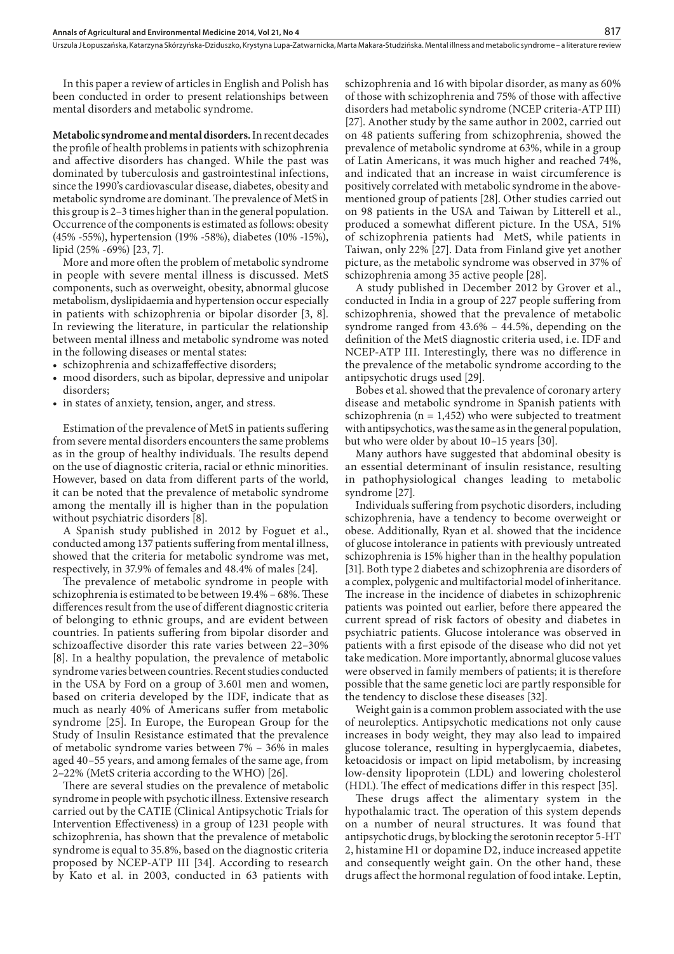Urszula J Łopuszańska, Katarzyna Skórzyńska-Dziduszko, Krystyna Lupa-Zatwarnicka, Marta Makara-Studzińska . Mental illness and metabolic syndrome – a literature review

In this paper a review of articles in English and Polish has been conducted in order to present relationships between mental disorders and metabolic syndrome.

**Metabolic syndrome and mental disorders.** In recent decades the profile of health problems in patients with schizophrenia and affective disorders has changed. While the past was dominated by tuberculosis and gastrointestinal infections, since the 1990's cardiovascular disease, diabetes, obesity and metabolic syndrome are dominant. The prevalence of MetS in this group is 2–3 times higher than in the general population. Occurrence of the components is estimated as follows: obesity (45% -55%), hypertension (19% -58%), diabetes (10% -15%), lipid (25% -69%) [23, 7].

More and more often the problem of metabolic syndrome in people with severe mental illness is discussed. MetS components, such as overweight, obesity, abnormal glucose metabolism, dyslipidaemia and hypertension occur especially in patients with schizophrenia or bipolar disorder [3, 8]. In reviewing the literature, in particular the relationship between mental illness and metabolic syndrome was noted in the following diseases or mental states:

- schizophrenia and schizaffeffective disorders;
- mood disorders, such as bipolar, depressive and unipolar disorders;
- in states of anxiety, tension, anger, and stress.

Estimation of the prevalence of MetS in patients suffering from severe mental disorders encounters the same problems as in the group of healthy individuals. The results depend on the use of diagnostic criteria, racial or ethnic minorities. However, based on data from different parts of the world, it can be noted that the prevalence of metabolic syndrome among the mentally ill is higher than in the population without psychiatric disorders [8].

A Spanish study published in 2012 by Foguet et al., conducted among 137 patients suffering from mental illness, showed that the criteria for metabolic syndrome was met, respectively, in 37.9% of females and 48.4% of males [24].

The prevalence of metabolic syndrome in people with schizophrenia is estimated to be between 19.4% – 68%. These differences result from the use of different diagnostic criteria of belonging to ethnic groups, and are evident between countries. In patients suffering from bipolar disorder and schizoaffective disorder this rate varies between 22–30% [8]. In a healthy population, the prevalence of metabolic syndrome varies between countries. Recent studies conducted in the USA by Ford on a group of 3.601 men and women, based on criteria developed by the IDF, indicate that as much as nearly 40% of Americans suffer from metabolic syndrome [25]. In Europe, the European Group for the Study of Insulin Resistance estimated that the prevalence of metabolic syndrome varies between 7% – 36% in males aged 40–55 years, and among females of the same age, from 2–22% (MetS criteria according to the WHO) [26].

There are several studies on the prevalence of metabolic syndrome in people with psychotic illness. Extensive research carried out by the CATIE (Clinical Antipsychotic Trials for Intervention Effectiveness) in a group of 1231 people with schizophrenia, has shown that the prevalence of metabolic syndrome is equal to 35.8%, based on the diagnostic criteria proposed by NCEP-ATP III [34]. According to research by Kato et al. in 2003, conducted in 63 patients with schizophrenia and 16 with bipolar disorder, as many as 60% of those with schizophrenia and 75% of those with affective disorders had metabolic syndrome (NCEP criteria-ATP III) [27]. Another study by the same author in 2002, carried out on 48 patients suffering from schizophrenia, showed the prevalence of metabolic syndrome at 63%, while in a group of Latin Americans, it was much higher and reached 74%, and indicated that an increase in waist circumference is positively correlated with metabolic syndrome in the abovementioned group of patients [28]. Other studies carried out on 98 patients in the USA and Taiwan by Litterell et al., produced a somewhat different picture. In the USA, 51% of schizophrenia patients had MetS, while patients in Taiwan, only 22% [27]. Data from Finland give yet another picture, as the metabolic syndrome was observed in 37% of schizophrenia among 35 active people [28].

A study published in December 2012 by Grover et al., conducted in India in a group of 227 people suffering from schizophrenia, showed that the prevalence of metabolic syndrome ranged from 43.6% – 44.5%, depending on the definition of the MetS diagnostic criteria used, i.e. IDF and NCEP-ATP III. Interestingly, there was no difference in the prevalence of the metabolic syndrome according to the antipsychotic drugs used [29].

Bobes et al. showed that the prevalence of coronary artery disease and metabolic syndrome in Spanish patients with schizophrenia ( $n = 1,452$ ) who were subjected to treatment with antipsychotics, was the same as in the general population, but who were older by about 10–15 years [30].

Many authors have suggested that abdominal obesity is an essential determinant of insulin resistance, resulting in pathophysiological changes leading to metabolic syndrome [27].

Individuals suffering from psychotic disorders, including schizophrenia, have a tendency to become overweight or obese. Additionally, Ryan et al. showed that the incidence of glucose intolerance in patients with previously untreated schizophrenia is 15% higher than in the healthy population [31]. Both type 2 diabetes and schizophrenia are disorders of a complex, polygenic and multifactorial model of inheritance. The increase in the incidence of diabetes in schizophrenic patients was pointed out earlier, before there appeared the current spread of risk factors of obesity and diabetes in psychiatric patients. Glucose intolerance was observed in patients with a first episode of the disease who did not yet take medication. More importantly, abnormal glucose values were observed in family members of patients; it is therefore possible that the same genetic loci are partly responsible for the tendency to disclose these diseases [32].

Weight gain is a common problem associated with the use of neuroleptics. Antipsychotic medications not only cause increases in body weight, they may also lead to impaired glucose tolerance, resulting in hyperglycaemia, diabetes, ketoacidosis or impact on lipid metabolism, by increasing low-density lipoprotein (LDL) and lowering cholesterol (HDL). The effect of medications differ in this respect [35].

These drugs affect the alimentary system in the hypothalamic tract. The operation of this system depends on a number of neural structures. It was found that antipsychotic drugs, by blocking the serotonin receptor 5-HT 2, histamine H1 or dopamine D2, induce increased appetite and consequently weight gain. On the other hand, these drugs affect the hormonal regulation of food intake. Leptin,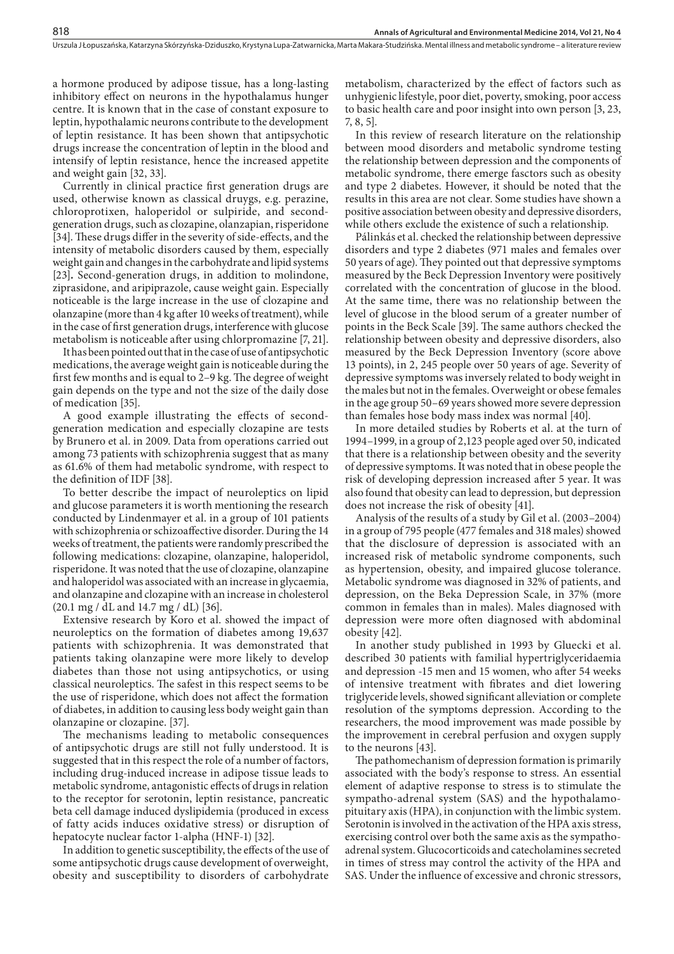a hormone produced by adipose tissue, has a long-lasting inhibitory effect on neurons in the hypothalamus hunger centre. It is known that in the case of constant exposure to leptin, hypothalamic neurons contribute to the development of leptin resistance. It has been shown that antipsychotic drugs increase the concentration of leptin in the blood and intensify of leptin resistance, hence the increased appetite and weight gain [32, 33].

Currently in clinical practice first generation drugs are used, otherwise known as classical druygs, e.g. perazine, chloroprotixen, haloperidol or sulpiride, and secondgeneration drugs, such as clozapine, olanzapian, risperidone [34]. These drugs differ in the severity of side-effects, and the intensity of metabolic disorders caused by them, especially weight gain and changes in the carbohydrate and lipid systems [23]*.* Second-generation drugs, in addition to molindone, ziprasidone, and aripiprazole, cause weight gain. Especially noticeable is the large increase in the use of clozapine and olanzapine (more than 4 kg after 10 weeks of treatment), while in the case of first generation drugs, interference with glucose metabolism is noticeable after using chlorpromazine [7, 21].

It has been pointed out that in the case of use of antipsychotic medications, the average weight gain is noticeable during the first few months and is equal to 2–9 kg. The degree of weight gain depends on the type and not the size of the daily dose of medication [35].

A good example illustrating the effects of secondgeneration medication and especially clozapine are tests by Brunero et al. in 2009. Data from operations carried out among 73 patients with schizophrenia suggest that as many as 61.6% of them had metabolic syndrome, with respect to the definition of IDF [38].

To better describe the impact of neuroleptics on lipid and glucose parameters it is worth mentioning the research conducted by Lindenmayer et al. in a group of 101 patients with schizophrenia or schizoaffective disorder. During the 14 weeks of treatment, the patients were randomly prescribed the following medications: clozapine, olanzapine, haloperidol, risperidone. It was noted that the use of clozapine, olanzapine and haloperidol was associated with an increase in glycaemia, and olanzapine and clozapine with an increase in cholesterol (20.1 mg / dL and 14.7 mg / dL) [36].

Extensive research by Koro et al. showed the impact of neuroleptics on the formation of diabetes among 19,637 patients with schizophrenia. It was demonstrated that patients taking olanzapine were more likely to develop diabetes than those not using antipsychotics, or using classical neuroleptics. The safest in this respect seems to be the use of risperidone, which does not affect the formation of diabetes, in addition to causing less body weight gain than olanzapine or clozapine. [37].

The mechanisms leading to metabolic consequences of antipsychotic drugs are still not fully understood. It is suggested that in this respect the role of a number of factors, including drug-induced increase in adipose tissue leads to metabolic syndrome, antagonistic effects of drugs in relation to the receptor for serotonin, leptin resistance, pancreatic beta cell damage induced dyslipidemia (produced in excess of fatty acids induces oxidative stress) or disruption of hepatocyte nuclear factor 1-alpha (HNF-1) [32]*.*

In addition to genetic susceptibility, the effects of the use of some antipsychotic drugs cause development of overweight, obesity and susceptibility to disorders of carbohydrate

metabolism, characterized by the effect of factors such as unhygienic lifestyle, poor diet, poverty, smoking, poor access to basic health care and poor insight into own person [3, 23, 7, 8, 5].

In this review of research literature on the relationship between mood disorders and metabolic syndrome testing the relationship between depression and the components of metabolic syndrome, there emerge fasctors such as obesity and type 2 diabetes. However, it should be noted that the results in this area are not clear. Some studies have shown a positive association between obesity and depressive disorders, while others exclude the existence of such a relationship.

Pálinkás et al. checked the relationship between depressive disorders and type 2 diabetes (971 males and females over 50 years of age). They pointed out that depressive symptoms measured by the Beck Depression Inventory were positively correlated with the concentration of glucose in the blood. At the same time, there was no relationship between the level of glucose in the blood serum of a greater number of points in the Beck Scale [39]. The same authors checked the relationship between obesity and depressive disorders, also measured by the Beck Depression Inventory (score above 13 points), in 2, 245 people over 50 years of age. Severity of depressive symptoms was inversely related to body weight in the males but not in the females. Overweight or obese females in the age group 50–69 years showed more severe depression than females hose body mass index was normal [40].

In more detailed studies by Roberts et al. at the turn of 1994–1999, in a group of 2,123 people aged over 50, indicated that there is a relationship between obesity and the severity of depressive symptoms. It was noted that in obese people the risk of developing depression increased after 5 year. It was also found that obesity can lead to depression, but depression does not increase the risk of obesity [41].

Analysis of the results of a study by Gil et al. (2003–2004) in a group of 795 people (477 females and 318 males) showed that the disclosure of depression is associated with an increased risk of metabolic syndrome components, such as hypertension, obesity, and impaired glucose tolerance. Metabolic syndrome was diagnosed in 32% of patients, and depression, on the Beka Depression Scale, in 37% (more common in females than in males). Males diagnosed with depression were more often diagnosed with abdominal obesity [42].

In another study published in 1993 by Gluecki et al. described 30 patients with familial hypertriglyceridaemia and depression -15 men and 15 women, who after 54 weeks of intensive treatment with fibrates and diet lowering triglyceride levels, showed significant alleviation or complete resolution of the symptoms depression. According to the researchers, the mood improvement was made possible by the improvement in cerebral perfusion and oxygen supply to the neurons [43].

The pathomechanism of depression formation is primarily associated with the body's response to stress. An essential element of adaptive response to stress is to stimulate the sympatho-adrenal system (SAS) and the hypothalamopituitary axis (HPA), in conjunction with the limbic system. Serotonin is involved in the activation of the HPA axis stress, exercising control over both the same axis as the sympathoadrenal system. Glucocorticoids and catecholamines secreted in times of stress may control the activity of the HPA and SAS. Under the influence of excessive and chronic stressors,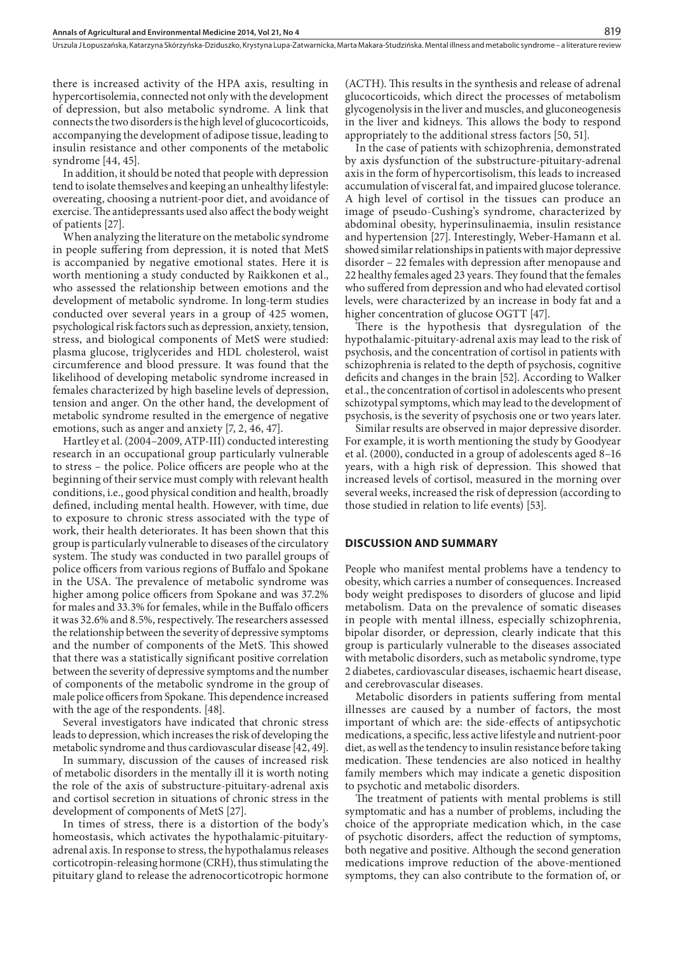there is increased activity of the HPA axis, resulting in hypercortisolemia, connected not only with the development of depression, but also metabolic syndrome. A link that connects the two disorders is the high level of glucocorticoids, accompanying the development of adipose tissue, leading to insulin resistance and other components of the metabolic syndrome [44, 45].

In addition, it should be noted that people with depression tend to isolate themselves and keeping an unhealthy lifestyle: overeating, choosing a nutrient-poor diet, and avoidance of exercise. The antidepressants used also affect the body weight of patients [27].

When analyzing the literature on the metabolic syndrome in people suffering from depression, it is noted that MetS is accompanied by negative emotional states. Here it is worth mentioning a study conducted by Raikkonen et al., who assessed the relationship between emotions and the development of metabolic syndrome. In long-term studies conducted over several years in a group of 425 women, psychological risk factors such as depression, anxiety, tension, stress, and biological components of MetS were studied: plasma glucose, triglycerides and HDL cholesterol, waist circumference and blood pressure. It was found that the likelihood of developing metabolic syndrome increased in females characterized by high baseline levels of depression, tension and anger. On the other hand, the development of metabolic syndrome resulted in the emergence of negative emotions, such as anger and anxiety [7, 2, 46, 47].

Hartley et al. (2004–2009, ATP-III) conducted interesting research in an occupational group particularly vulnerable to stress – the police. Police officers are people who at the beginning of their service must comply with relevant health conditions, i.e., good physical condition and health, broadly defined, including mental health. However, with time, due to exposure to chronic stress associated with the type of work, their health deteriorates. It has been shown that this group is particularly vulnerable to diseases of the circulatory system. The study was conducted in two parallel groups of police officers from various regions of Buffalo and Spokane in the USA. The prevalence of metabolic syndrome was higher among police officers from Spokane and was 37.2% for males and 33.3% for females, while in the Buffalo officers it was 32.6% and 8.5%, respectively. The researchers assessed the relationship between the severity of depressive symptoms and the number of components of the MetS. This showed that there was a statistically significant positive correlation between the severity of depressive symptoms and the number of components of the metabolic syndrome in the group of male police officers from Spokane. This dependence increased with the age of the respondents. [48].

Several investigators have indicated that chronic stress leads to depression, which increases the risk of developing the metabolic syndrome and thus cardiovascular disease [42, 49].

In summary, discussion of the causes of increased risk of metabolic disorders in the mentally ill it is worth noting the role of the axis of substructure-pituitary-adrenal axis and cortisol secretion in situations of chronic stress in the development of components of MetS [27].

In times of stress, there is a distortion of the body's homeostasis, which activates the hypothalamic-pituitaryadrenal axis. In response to stress, the hypothalamus releases corticotropin-releasing hormone (CRH), thus stimulating the pituitary gland to release the adrenocorticotropic hormone

(ACTH). This results in the synthesis and release of adrenal glucocorticoids, which direct the processes of metabolism glycogenolysis in the liver and muscles, and gluconeogenesis in the liver and kidneys. This allows the body to respond appropriately to the additional stress factors [50, 51].

In the case of patients with schizophrenia, demonstrated by axis dysfunction of the substructure-pituitary-adrenal axis in the form of hypercortisolism, this leads to increased accumulation of visceral fat, and impaired glucose tolerance. A high level of cortisol in the tissues can produce an image of pseudo-Cushing's syndrome, characterized by abdominal obesity, hyperinsulinaemia, insulin resistance and hypertension [27]. Interestingly, Weber-Hamann et al. showed similar relationships in patients with major depressive disorder – 22 females with depression after menopause and 22 healthy females aged 23 years. They found that the females who suffered from depression and who had elevated cortisol levels, were characterized by an increase in body fat and a higher concentration of glucose OGTT [47].

There is the hypothesis that dysregulation of the hypothalamic-pituitary-adrenal axis may lead to the risk of psychosis, and the concentration of cortisol in patients with schizophrenia is related to the depth of psychosis, cognitive deficits and changes in the brain [52]. According to Walker et al., the concentration of cortisol in adolescents who present schizotypal symptoms, which may lead to the development of psychosis, is the severity of psychosis one or two years later.

Similar results are observed in major depressive disorder. For example, it is worth mentioning the study by Goodyear et al. (2000), conducted in a group of adolescents aged 8–16 years, with a high risk of depression. This showed that increased levels of cortisol, measured in the morning over several weeks, increased the risk of depression (according to those studied in relation to life events) [53].

#### **DISCUSSION AND SUMMARY**

People who manifest mental problems have a tendency to obesity, which carries a number of consequences. Increased body weight predisposes to disorders of glucose and lipid metabolism. Data on the prevalence of somatic diseases in people with mental illness, especially schizophrenia, bipolar disorder, or depression, clearly indicate that this group is particularly vulnerable to the diseases associated with metabolic disorders, such as metabolic syndrome, type 2 diabetes, cardiovascular diseases, ischaemic heart disease, and cerebrovascular diseases.

Metabolic disorders in patients suffering from mental illnesses are caused by a number of factors, the most important of which are: the side-effects of antipsychotic medications, a specific, less active lifestyle and nutrient-poor diet, as well as the tendency to insulin resistance before taking medication. These tendencies are also noticed in healthy family members which may indicate a genetic disposition to psychotic and metabolic disorders.

The treatment of patients with mental problems is still symptomatic and has a number of problems, including the choice of the appropriate medication which, in the case of psychotic disorders, affect the reduction of symptoms, both negative and positive. Although the second generation medications improve reduction of the above-mentioned symptoms, they can also contribute to the formation of, or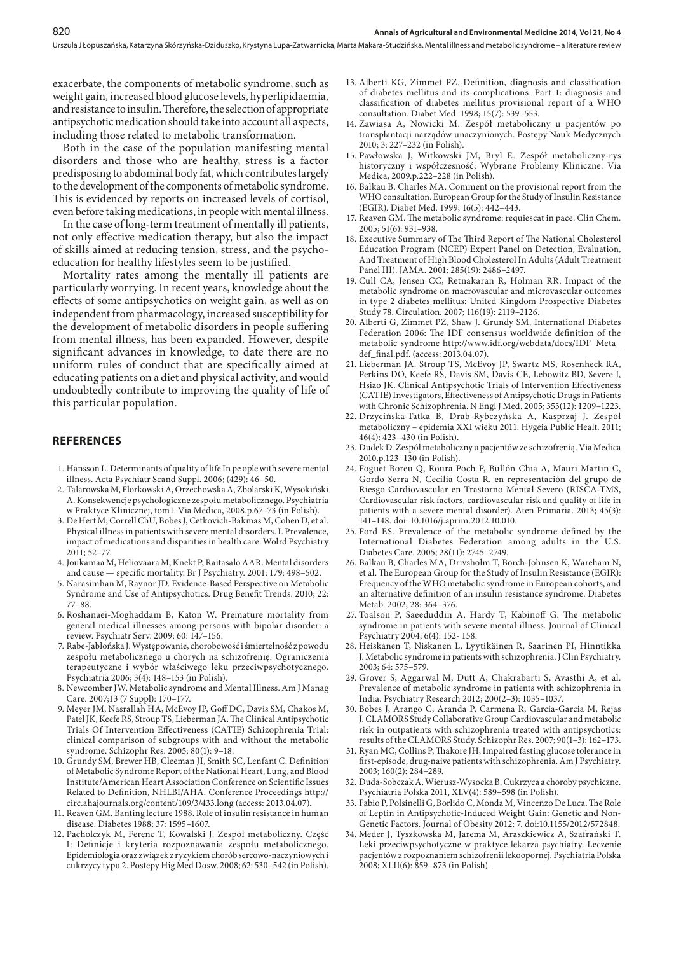exacerbate, the components of metabolic syndrome, such as weight gain, increased blood glucose levels, hyperlipidaemia, and resistance to insulin. Therefore, the selection of appropriate antipsychotic medication should take into account all aspects, including those related to metabolic transformation.

Both in the case of the population manifesting mental disorders and those who are healthy, stress is a factor predisposing to abdominal body fat, which contributes largely to the development of the components of metabolic syndrome. This is evidenced by reports on increased levels of cortisol, even before taking medications, in people with mental illness.

In the case of long-term treatment of mentally ill patients, not only effective medication therapy, but also the impact of skills aimed at reducing tension, stress, and the psychoeducation for healthy lifestyles seem to be justified.

Mortality rates among the mentally ill patients are particularly worrying. In recent years, knowledge about the effects of some antipsychotics on weight gain, as well as on independent from pharmacology, increased susceptibility for the development of metabolic disorders in people suffering from mental illness, has been expanded. However, despite significant advances in knowledge, to date there are no uniform rules of conduct that are specifically aimed at educating patients on a diet and physical activity, and would undoubtedly contribute to improving the quality of life of this particular population.

#### **REFERENCES**

820

- 1. [Hansson L.](http://www.ncbi.nlm.nih.gov/pubmed?term=Hansson L%5BAuthor%5D&cauthor=true&cauthor_uid=16445482) Determinants of quality of life In pe ople with severe mental illness. Acta Psychiatr Scand Suppl. 2006; (429): 46–50.
- 2. Talarowska M, Florkowski A, Orzechowska A, Zbolarski K, Wysokiński A. Konsekwencje psychologiczne zespołu metabolicznego. Psychiatria w Praktyce Klinicznej, tom1. Via Medica, 2008.p.67–73 (in Polish).
- 3. De Hert M, Correll ChU, Bobes J, Cetkovich-Bakmas M, Cohen D, et al. Physical illness in patients with severe mental disorders. I. Prevalence, impact of medications and disparities in health care. Wolrd Psychiatry 2011; 52–77.
- 4. Joukamaa M, Heliovaara M, Knekt P, Raitasalo AAR. Mental disorders and cause — specific mortality. Br J Psychiatry. 2001; 179: 498–502.
- 5. Narasimhan M, Raynor JD. Evidence-Based Perspective on Metabolic Syndrome and Use of Antipsychotics. Drug Benefit Trends. 2010; 22: 77–88.
- 6. Roshanaei-Moghaddam B, Katon W. Premature mortality from general medical illnesses among persons with bipolar disorder: a review. Psychiatr Serv. 2009; 60: 147–156.
- 7. Rabe-Jabłońska J. Występowanie, chorobowość i śmiertelność z powodu zespołu metabolicznego u chorych na schizofrenię. Ograniczenia terapeutyczne i wybór właściwego leku przeciwpsychotycznego. Psychiatria 2006; 3(4): 148–153 (in Polish).
- 8. Newcomber JW. Metabolic syndrome and Mental Illness. [Am J Manag](http://www.ncbi.nlm.nih.gov/pubmed/18041878) [Care.](http://www.ncbi.nlm.nih.gov/pubmed/18041878) 2007;13 (7 Suppl): 170–177.
- 9. Meyer JM, Nasrallah HA, McEvoy JP, Goff DC, Davis SM, Chakos M, Patel JK, Keefe RS, Stroup TS, Lieberman JA. The Clinical Antipsychotic Trials Of Intervention Effectiveness (CATIE) Schizophrenia Trial: clinical comparison of subgroups with and without the metabolic syndrome. Schizophr Res. 2005; 80(1): 9–18.
- 10. Grundy SM, Brewer HB, Cleeman JI, Smith SC, Lenfant C. Definition of Metabolic Syndrome Report of the National Heart, Lung, and Blood Institute/American Heart Association Conference on Scientific Issues Related to Definition, NHLBI/AHA. Conference Proceedings [http://](http://circ.ahajournals.org/content/109/3/433.long) [circ.ahajournals.org/content/109/3/433.long](http://circ.ahajournals.org/content/109/3/433.long) (access: 2013.04.07).
- 11. Reaven GM. Banting lecture 1988. Role of insulin resistance in human disease. Diabetes 1988; 37: 1595–1607.
- 12. Pacholczyk M, Ferenc T, Kowalski J, Zespół metaboliczny. Część I: Definicje i kryteria rozpoznawania zespołu metabolicznego. Epidemiologia oraz związek z ryzykiem chorób sercowo-naczyniowych i cukrzycy typu 2. Postepy Hig Med Dosw. 2008; 62: 530–542 (in Polish).
- 13. Alberti KG, Zimmet PZ. Definition, diagnosis and classification of diabetes mellitus and its complications. Part 1: diagnosis and classification of diabetes mellitus provisional report of a WHO consultation. Diabet Med. 1998; 15(7): 539–553.
- 14. Zawiasa A, Nowicki M. Zespół metaboliczny u pacjentów po transplantacji narządów unaczynionych. Postępy Nauk Medycznych 2010; 3: 227–232 (in Polish).
- 15. Pawłowska J, Witkowski JM, Bryl E. Zespół metaboliczny-rys historyczny i współczesność; Wybrane Problemy Kliniczne. Via Medica, 2009.p.222–228 (in Polish).
- 16. Balkau B, Charles MA. Comment on the provisional report from the WHO consultation. European Group for the Study of Insulin Resistance (EGIR). Diabet Med. 1999; 16(5): 442–443.
- 17. Reaven GM. The metabolic syndrome: requiescat in pace. Clin Chem. 2005; 51(6): 931–938.
- 18. Executive Summary of The Third Report of The National Cholesterol Education Program (NCEP) Expert Panel on Detection, Evaluation, And Treatment of High Blood Cholesterol In Adults (Adult Treatment Panel III). JAMA. 2001; 285(19): 2486–2497.
- 19. Cull CA, Jensen CC, Retnakaran R, Holman RR. Impact of the metabolic syndrome on macrovascular and microvascular outcomes in type 2 diabetes mellitus: United Kingdom Prospective Diabetes Study 78. Circulation. 2007; 116(19): 2119–2126.
- 20. Alberti G, Zimmet PZ, Shaw J. Grundy SM, International Diabetes Federation 2006: The IDF consensus worldwide definition of the metabolic syndrome [http://www.idf.org/webdata/docs/IDF\\_Meta\\_](http://www.idf.org/webdata/docs/IDF_Meta_def_final.pdf) [def\\_final.pdf](http://www.idf.org/webdata/docs/IDF_Meta_def_final.pdf). (access: 2013.04.07).
- 21. Lieberman JA, Stroup TS, McEvoy JP, Swartz MS, Rosenheck RA, Perkins DO, Keefe RS, Davis SM, Davis CE, Lebowitz BD, Severe J, Hsiao JK. Clinical Antipsychotic Trials of Intervention Effectiveness (CATIE) Investigators, Effectiveness of Antipsychotic Drugs in Patients with Chronic Schizophrenia. N Engl J Med. 2005; 353(12): 1209–1223.
- 22. Drzycińska-Tatka B, Drab-Rybczyńska A, Kasprzaj J. Zespół metaboliczny – epidemia XXI wieku 2011. Hygeia Public Healt. 2011; 46(4): 423–430 (in Polish).
- 23. Dudek D. Zespół metaboliczny u pacjentów ze schizofrenią. Via Medica 2010.p.123–130 (in Polish).
- 24. Foguet Boreu Q, Roura Poch P, Bullón Chia A, Mauri Martin C, Gordo Serra N, Cecília Costa R. en representación del grupo de Riesgo Cardiovascular en Trastorno Mental Severo (RISCA-TMS, Cardiovascular risk factors, cardiovascular risk and quality of life in patients with a severe mental disorder). Aten Primaria. 2013; 45(3): 141–148. doi: 10.1016/j.aprim.2012.10.010.
- 25. [Ford ES](http://www.ncbi.nlm.nih.gov/pubmed?term=Ford ES%5BAuthor%5D&cauthor=true&cauthor_uid=16249550). Prevalence of the metabolic syndrome defined by the International Diabetes Federation among adults in the U.S. [Diabetes Care.](http://www.ncbi.nlm.nih.gov/pubmed/16249550) 2005; 28(11): 2745–2749.
- 26. Balkau B, Charles MA, Drivsholm T, Borch-Johnsen K, Wareham N, et al. The European Group for the Study of Insulin Resistance (EGIR): Frequency of the WHO metabolic syndrome in European cohorts, and an alternative definition of an insulin resistance syndrome. Diabetes Metab. 2002; 28: 364–376.
- 27. Toalson P, Saeeduddin A, Hardy T, Kabinoff G. The metabolic syndrome in patients with severe mental illness. Journal of Clinical Psychiatry 2004; 6(4): 152- 158.
- 28. Heiskanen T, Niskanen L, Lyytikäinen R, Saarinen PI, Hinntikka J. Metabolic syndrome in patients with schizophrenia. J Clin Psychiatry. 2003; 64: 575–579.
- 29. Grover S, Aggarwal M, Dutt A, Chakrabarti S, Avasthi A, et al. Prevalence of metabolic syndrome in patients with schizophrenia in India. Psychiatry Research 2012; 200(2–3): 1035–1037.
- 30. [Bobes J,](http://www.ncbi.nlm.nih.gov/pubmed?term=Bobes J%5BAuthor%5D&cauthor=true&cauthor_uid=17123783) [Arango C,](http://www.ncbi.nlm.nih.gov/pubmed?term=Arango C%5BAuthor%5D&cauthor=true&cauthor_uid=17123783) [Aranda P](http://www.ncbi.nlm.nih.gov/pubmed?term=Aranda P%5BAuthor%5D&cauthor=true&cauthor_uid=17123783), [Carmena R](http://www.ncbi.nlm.nih.gov/pubmed?term=Carmena R%5BAuthor%5D&cauthor=true&cauthor_uid=17123783), [Garcia-Garcia M,](http://www.ncbi.nlm.nih.gov/pubmed?term=Garcia-Garcia M%5BAuthor%5D&cauthor=true&cauthor_uid=17123783) [Rejas](http://www.ncbi.nlm.nih.gov/pubmed?term=Rejas J%5BAuthor%5D&cauthor=true&cauthor_uid=17123783)  [J](http://www.ncbi.nlm.nih.gov/pubmed?term=Rejas J%5BAuthor%5D&cauthor=true&cauthor_uid=17123783). [CLAMORS Study Collaborative Group](http://www.ncbi.nlm.nih.gov/pubmed?term=CLAMORS Study Collaborative Group%5BCorporate Author%5D) Cardiovascular and metabolic risk in outpatients with schizophrenia treated with antipsychotics: results of the CLAMORS Study. [Schizophr Res.](http://www.ncbi.nlm.nih.gov/pubmed/17123783) 2007; 90(1–3): 162–173.
- 31. Ryan MC, Collins P, Thakore JH, Impaired fasting glucose tolerance in first-episode, drug-naive patients with schizophrenia. Am J Psychiatry. 2003; 160(2): 284–289.
- 32. Duda-Sobczak A, Wierusz-Wysocka B. Cukrzyca a choroby psychiczne. Psychiatria Polska 2011, XLV(4): 589–598 (in Polish).
- 33. Fabio P, Polsinelli G, Borlido C, Monda M, Vincenzo De Luca. The Role of Leptin in Antipsychotic-Induced Weight Gain: Genetic and Non-Genetic Factors. Journal of Obesity 2012; 7. doi:10.1155/2012/572848.
- 34. Meder J, Tyszkowska M, Jarema M, Araszkiewicz A, Szafrański T. Leki przeciwpsychotyczne w praktyce lekarza psychiatry. Leczenie pacjentów z rozpoznaniem schizofrenii lekoopornej. Psychiatria Polska 2008; XLII(6): 859–873 (in Polish).